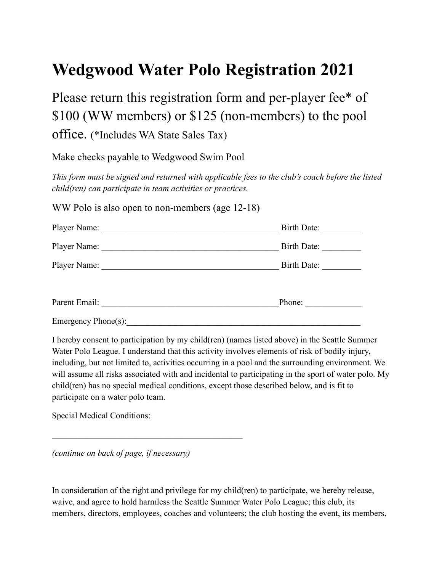# **Wedgwood Water Polo Registration 2021**

Please return this registration form and per-player fee\* of \$100 (WW members) or \$125 (non-members) to the pool office. (\*Includes WA State Sales Tax)

Make checks payable to Wedgwood Swim Pool

*This form must be signed and returned with applicable fees to the club's coach before the listed child(ren) can participate in team activities or practices.*

WW Polo is also open to non-members (age 12-18)

| Player Name:  | Birth Date: |
|---------------|-------------|
| Player Name:  | Birth Date: |
| Player Name:  | Birth Date: |
| Parent Email: | Phone:      |

Emergency Phone(s):

I hereby consent to participation by my child(ren) (names listed above) in the Seattle Summer Water Polo League. I understand that this activity involves elements of risk of bodily injury, including, but not limited to, activities occurring in a pool and the surrounding environment. We will assume all risks associated with and incidental to participating in the sport of water polo. My child(ren) has no special medical conditions, except those described below, and is fit to participate on a water polo team.

Special Medical Conditions:

*(continue on back of page, if necessary)*

 $\mathcal{L}_\text{max}$  , and the contract of the contract of the contract of the contract of the contract of the contract of the contract of the contract of the contract of the contract of the contract of the contract of the contr

In consideration of the right and privilege for my child(ren) to participate, we hereby release, waive, and agree to hold harmless the Seattle Summer Water Polo League; this club, its members, directors, employees, coaches and volunteers; the club hosting the event, its members,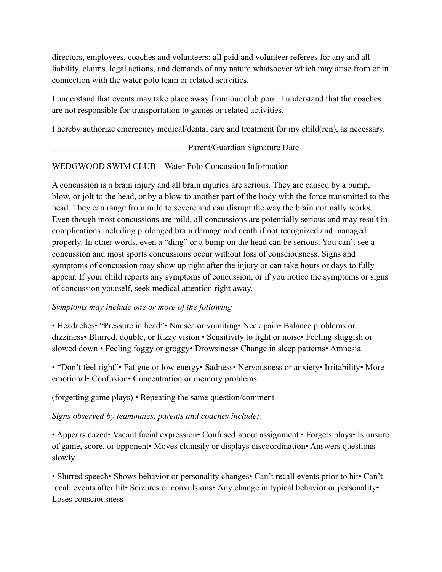directors, employees, coaches and volunteers; all paid and volunteer referees for any and all liability, claims, legal actions, and demands of any nature whatsoever which may arise from or in connection with the water polo team or related activities.

I understand that events may take place away from our club pool. I understand that the coaches are not responsible for transportation to games or related activities.

I hereby authorize emergency medical/dental care and treatment for my child(ren), as necessary.

Parent/Guardian Signature Date

### WEDGWOOD SWIM CLUB – Water Polo Concussion Information

A concussion is a brain injury and all brain injuries are serious. They are caused by a bump, blow, or jolt to the head, or by a blow to another part of the body with the force transmitted to the head. They can range from mild to severe and can disrupt the way the brain normally works. Even though most concussions are mild, all concussions are potentially serious and may result in complications including prolonged brain damage and death if not recognized and managed properly. In other words, even a "ding" or a bump on the head can be serious. You can't see a concussion and most sports concussions occur without loss of consciousness. Signs and symptoms of concussion may show up right after the injury or can take hours or days to fully appear. If your child reports any symptoms of concussion, or if you notice the symptoms or signs of concussion yourself, seek medical attention right away.

#### *Symptoms may include one or more of the following*

• Headaches• "Pressure in head"• Nausea or vomiting• Neck pain• Balance problems or dizziness• Blurred, double, or fuzzy vision • Sensitivity to light or noise• Feeling sluggish or slowed down • Feeling foggy or groggy• Drowsiness• Change in sleep patterns• Amnesia

• "Don't feel right"• Fatigue or low energy• Sadness• Nervousness or anxiety• Irritability• More emotional• Confusion• Concentration or memory problems

(forgetting game plays) • Repeating the same question/comment

*Signs observed by teammates, parents and coaches include:*

• Appears dazed• Vacant facial expression• Confused about assignment • Forgets plays• Is unsure of game, score, or opponent• Moves clumsily or displays discoordination• Answers questions slowly

• Slurred speech• Shows behavior or personality changes• Can't recall events prior to hit• Can't recall events after hit• Seizures or convulsions• Any change in typical behavior or personality• Loses consciousness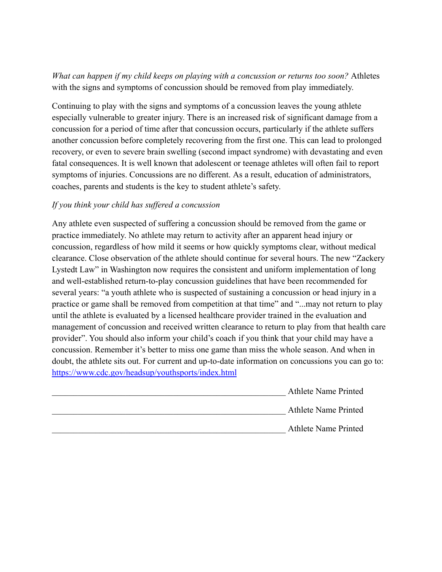*What can happen if my child keeps on playing with a concussion or returns too soon?* Athletes with the signs and symptoms of concussion should be removed from play immediately.

Continuing to play with the signs and symptoms of a concussion leaves the young athlete especially vulnerable to greater injury. There is an increased risk of significant damage from a concussion for a period of time after that concussion occurs, particularly if the athlete suffers another concussion before completely recovering from the first one. This can lead to prolonged recovery, or even to severe brain swelling (second impact syndrome) with devastating and even fatal consequences. It is well known that adolescent or teenage athletes will often fail to report symptoms of injuries. Concussions are no different. As a result, education of administrators, coaches, parents and students is the key to student athlete's safety.

#### *If you think your child has suffered a concussion*

Any athlete even suspected of suffering a concussion should be removed from the game or practice immediately. No athlete may return to activity after an apparent head injury or concussion, regardless of how mild it seems or how quickly symptoms clear, without medical clearance. Close observation of the athlete should continue for several hours. The new "Zackery Lystedt Law" in Washington now requires the consistent and uniform implementation of long and well-established return-to-play concussion guidelines that have been recommended for several years: "a youth athlete who is suspected of sustaining a concussion or head injury in a practice or game shall be removed from competition at that time" and "...may not return to play until the athlete is evaluated by a licensed healthcare provider trained in the evaluation and management of concussion and received written clearance to return to play from that health care provider". You should also inform your child's coach if you think that your child may have a concussion. Remember it's better to miss one game than miss the whole season. And when in doubt, the athlete sits out. For current and up-to-date information on concussions you can go to: <https://www.cdc.gov/headsup/youthsports/index.html>

| <b>Athlete Name Printed</b> |
|-----------------------------|
| Athlete Name Printed        |
| Athlete Name Printed        |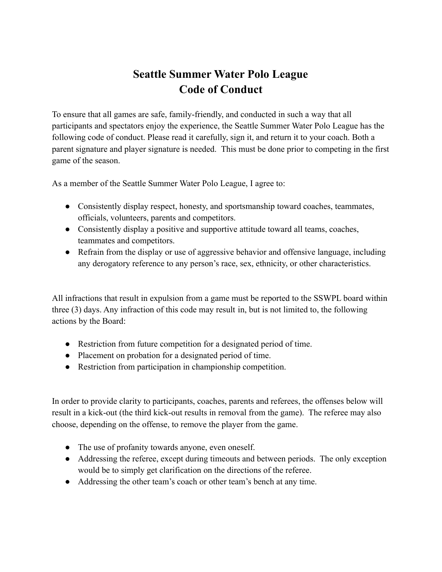## **Seattle Summer Water Polo League Code of Conduct**

To ensure that all games are safe, family-friendly, and conducted in such a way that all participants and spectators enjoy the experience, the Seattle Summer Water Polo League has the following code of conduct. Please read it carefully, sign it, and return it to your coach. Both a parent signature and player signature is needed. This must be done prior to competing in the first game of the season.

As a member of the Seattle Summer Water Polo League, I agree to:

- Consistently display respect, honesty, and sportsmanship toward coaches, teammates, officials, volunteers, parents and competitors.
- Consistently display a positive and supportive attitude toward all teams, coaches, teammates and competitors.
- Refrain from the display or use of aggressive behavior and offensive language, including any derogatory reference to any person's race, sex, ethnicity, or other characteristics.

All infractions that result in expulsion from a game must be reported to the SSWPL board within three (3) days. Any infraction of this code may result in, but is not limited to, the following actions by the Board:

- Restriction from future competition for a designated period of time.
- Placement on probation for a designated period of time.
- Restriction from participation in championship competition.

In order to provide clarity to participants, coaches, parents and referees, the offenses below will result in a kick-out (the third kick-out results in removal from the game). The referee may also choose, depending on the offense, to remove the player from the game.

- The use of profanity towards anyone, even oneself.
- Addressing the referee, except during timeouts and between periods. The only exception would be to simply get clarification on the directions of the referee.
- Addressing the other team's coach or other team's bench at any time.